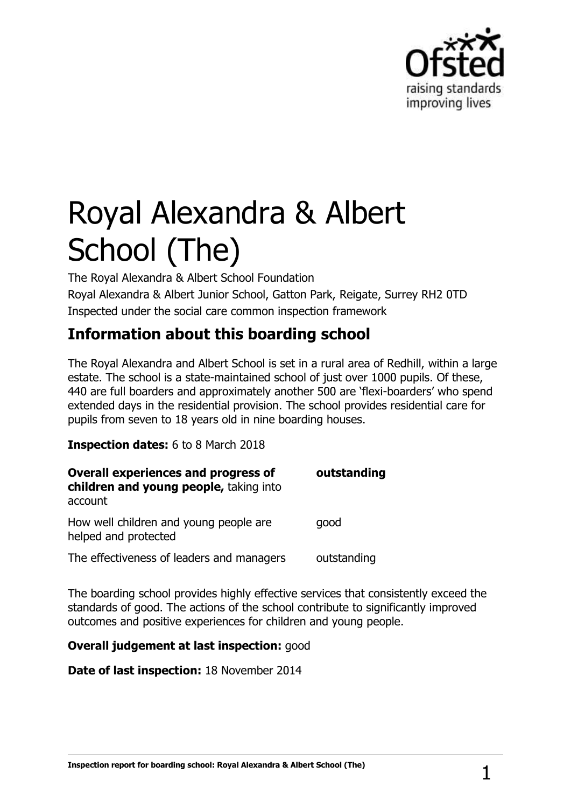

# Royal Alexandra & Albert School (The)

The Royal Alexandra & Albert School Foundation Royal Alexandra & Albert Junior School, Gatton Park, Reigate, Surrey RH2 0TD Inspected under the social care common inspection framework

# **Information about this boarding school**

The Royal Alexandra and Albert School is set in a rural area of Redhill, within a large estate. The school is a state-maintained school of just over 1000 pupils. Of these, 440 are full boarders and approximately another 500 are 'flexi-boarders' who spend extended days in the residential provision. The school provides residential care for pupils from seven to 18 years old in nine boarding houses.

**Inspection dates:** 6 to 8 March 2018

| <b>Overall experiences and progress of</b><br>children and young people, taking into | outstanding |
|--------------------------------------------------------------------------------------|-------------|
| account                                                                              |             |
| How well children and young people are<br>helped and protected                       | qood        |
| The effectiveness of leaders and managers                                            | outstanding |

The boarding school provides highly effective services that consistently exceed the standards of good. The actions of the school contribute to significantly improved outcomes and positive experiences for children and young people.

**Overall judgement at last inspection:** good

**Date of last inspection:** 18 November 2014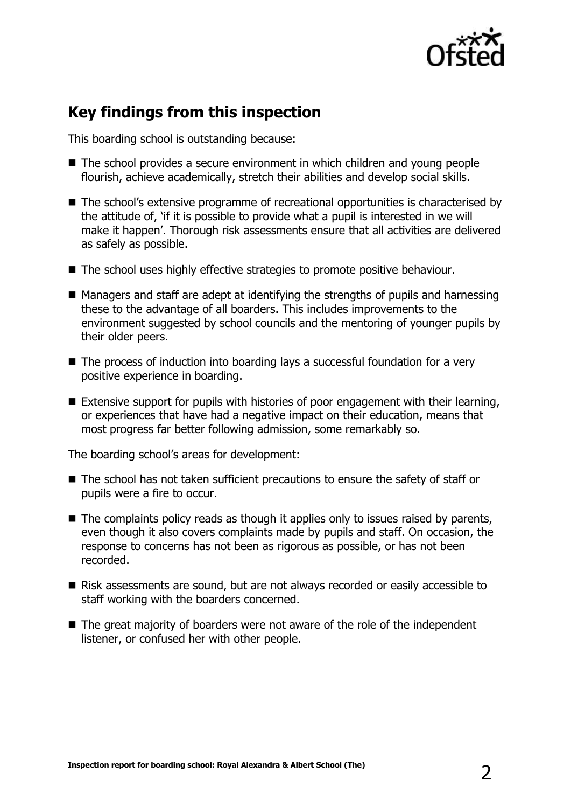

## **Key findings from this inspection**

This boarding school is outstanding because:

- The school provides a secure environment in which children and young people flourish, achieve academically, stretch their abilities and develop social skills.
- The school's extensive programme of recreational opportunities is characterised by the attitude of, 'if it is possible to provide what a pupil is interested in we will make it happen'. Thorough risk assessments ensure that all activities are delivered as safely as possible.
- The school uses highly effective strategies to promote positive behaviour.
- $\blacksquare$  Managers and staff are adept at identifying the strengths of pupils and harnessing these to the advantage of all boarders. This includes improvements to the environment suggested by school councils and the mentoring of younger pupils by their older peers.
- The process of induction into boarding lays a successful foundation for a very positive experience in boarding.
- Extensive support for pupils with histories of poor engagement with their learning, or experiences that have had a negative impact on their education, means that most progress far better following admission, some remarkably so.

The boarding school's areas for development:

- The school has not taken sufficient precautions to ensure the safety of staff or pupils were a fire to occur.
- $\blacksquare$  The complaints policy reads as though it applies only to issues raised by parents, even though it also covers complaints made by pupils and staff. On occasion, the response to concerns has not been as rigorous as possible, or has not been recorded.
- Risk assessments are sound, but are not always recorded or easily accessible to staff working with the boarders concerned.
- The great majority of boarders were not aware of the role of the independent listener, or confused her with other people.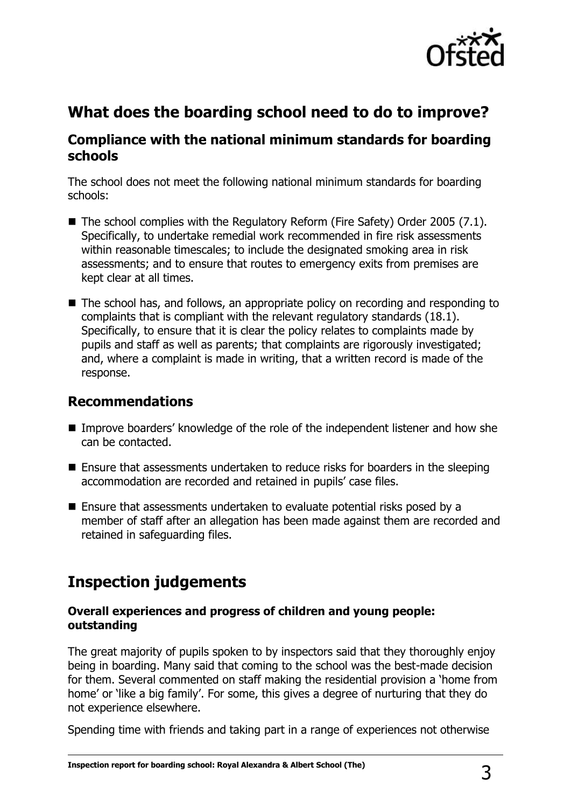

# **What does the boarding school need to do to improve?**

## **Compliance with the national minimum standards for boarding schools**

The school does not meet the following national minimum standards for boarding schools:

- The school complies with the Regulatory Reform (Fire Safety) Order 2005 (7.1). Specifically, to undertake remedial work recommended in fire risk assessments within reasonable timescales; to include the designated smoking area in risk assessments; and to ensure that routes to emergency exits from premises are kept clear at all times.
- The school has, and follows, an appropriate policy on recording and responding to complaints that is compliant with the relevant regulatory standards (18.1). Specifically, to ensure that it is clear the policy relates to complaints made by pupils and staff as well as parents; that complaints are rigorously investigated; and, where a complaint is made in writing, that a written record is made of the response.

### **Recommendations**

- Improve boarders' knowledge of the role of the independent listener and how she can be contacted.
- Ensure that assessments undertaken to reduce risks for boarders in the sleeping accommodation are recorded and retained in pupils' case files.
- Ensure that assessments undertaken to evaluate potential risks posed by a member of staff after an allegation has been made against them are recorded and retained in safeguarding files.

## **Inspection judgements**

#### **Overall experiences and progress of children and young people: outstanding**

The great majority of pupils spoken to by inspectors said that they thoroughly enjoy being in boarding. Many said that coming to the school was the best-made decision for them. Several commented on staff making the residential provision a 'home from home' or 'like a big family'. For some, this gives a degree of nurturing that they do not experience elsewhere.

Spending time with friends and taking part in a range of experiences not otherwise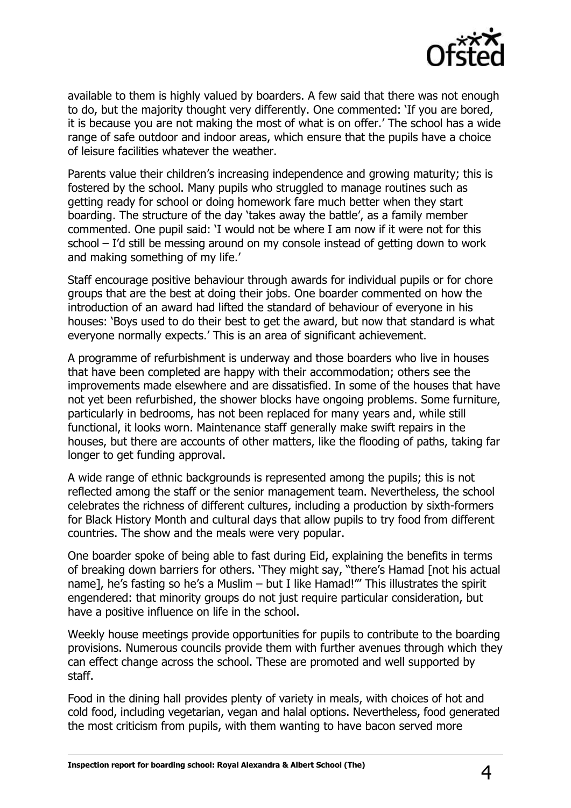

available to them is highly valued by boarders. A few said that there was not enough to do, but the majority thought very differently. One commented: 'If you are bored, it is because you are not making the most of what is on offer.' The school has a wide range of safe outdoor and indoor areas, which ensure that the pupils have a choice of leisure facilities whatever the weather.

Parents value their children's increasing independence and growing maturity; this is fostered by the school. Many pupils who struggled to manage routines such as getting ready for school or doing homework fare much better when they start boarding. The structure of the day 'takes away the battle', as a family member commented. One pupil said: 'I would not be where I am now if it were not for this school – I'd still be messing around on my console instead of getting down to work and making something of my life.'

Staff encourage positive behaviour through awards for individual pupils or for chore groups that are the best at doing their jobs. One boarder commented on how the introduction of an award had lifted the standard of behaviour of everyone in his houses: 'Boys used to do their best to get the award, but now that standard is what everyone normally expects.' This is an area of significant achievement.

A programme of refurbishment is underway and those boarders who live in houses that have been completed are happy with their accommodation; others see the improvements made elsewhere and are dissatisfied. In some of the houses that have not yet been refurbished, the shower blocks have ongoing problems. Some furniture, particularly in bedrooms, has not been replaced for many years and, while still functional, it looks worn. Maintenance staff generally make swift repairs in the houses, but there are accounts of other matters, like the flooding of paths, taking far longer to get funding approval.

A wide range of ethnic backgrounds is represented among the pupils; this is not reflected among the staff or the senior management team. Nevertheless, the school celebrates the richness of different cultures, including a production by sixth-formers for Black History Month and cultural days that allow pupils to try food from different countries. The show and the meals were very popular.

One boarder spoke of being able to fast during Eid, explaining the benefits in terms of breaking down barriers for others. 'They might say, "there's Hamad [not his actual name], he's fasting so he's a Muslim – but I like Hamad!"' This illustrates the spirit engendered: that minority groups do not just require particular consideration, but have a positive influence on life in the school.

Weekly house meetings provide opportunities for pupils to contribute to the boarding provisions. Numerous councils provide them with further avenues through which they can effect change across the school. These are promoted and well supported by staff.

Food in the dining hall provides plenty of variety in meals, with choices of hot and cold food, including vegetarian, vegan and halal options. Nevertheless, food generated the most criticism from pupils, with them wanting to have bacon served more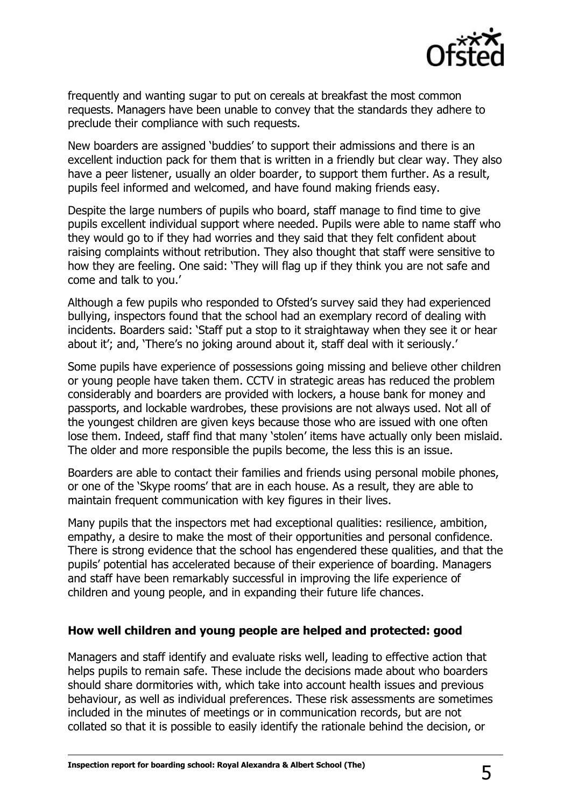

frequently and wanting sugar to put on cereals at breakfast the most common requests. Managers have been unable to convey that the standards they adhere to preclude their compliance with such requests.

New boarders are assigned 'buddies' to support their admissions and there is an excellent induction pack for them that is written in a friendly but clear way. They also have a peer listener, usually an older boarder, to support them further. As a result, pupils feel informed and welcomed, and have found making friends easy.

Despite the large numbers of pupils who board, staff manage to find time to give pupils excellent individual support where needed. Pupils were able to name staff who they would go to if they had worries and they said that they felt confident about raising complaints without retribution. They also thought that staff were sensitive to how they are feeling. One said: 'They will flag up if they think you are not safe and come and talk to you.'

Although a few pupils who responded to Ofsted's survey said they had experienced bullying, inspectors found that the school had an exemplary record of dealing with incidents. Boarders said: 'Staff put a stop to it straightaway when they see it or hear about it'; and, 'There's no joking around about it, staff deal with it seriously.'

Some pupils have experience of possessions going missing and believe other children or young people have taken them. CCTV in strategic areas has reduced the problem considerably and boarders are provided with lockers, a house bank for money and passports, and lockable wardrobes, these provisions are not always used. Not all of the youngest children are given keys because those who are issued with one often lose them. Indeed, staff find that many 'stolen' items have actually only been mislaid. The older and more responsible the pupils become, the less this is an issue.

Boarders are able to contact their families and friends using personal mobile phones, or one of the 'Skype rooms' that are in each house. As a result, they are able to maintain frequent communication with key figures in their lives.

Many pupils that the inspectors met had exceptional qualities: resilience, ambition, empathy, a desire to make the most of their opportunities and personal confidence. There is strong evidence that the school has engendered these qualities, and that the pupils' potential has accelerated because of their experience of boarding. Managers and staff have been remarkably successful in improving the life experience of children and young people, and in expanding their future life chances.

#### **How well children and young people are helped and protected: good**

Managers and staff identify and evaluate risks well, leading to effective action that helps pupils to remain safe. These include the decisions made about who boarders should share dormitories with, which take into account health issues and previous behaviour, as well as individual preferences. These risk assessments are sometimes included in the minutes of meetings or in communication records, but are not collated so that it is possible to easily identify the rationale behind the decision, or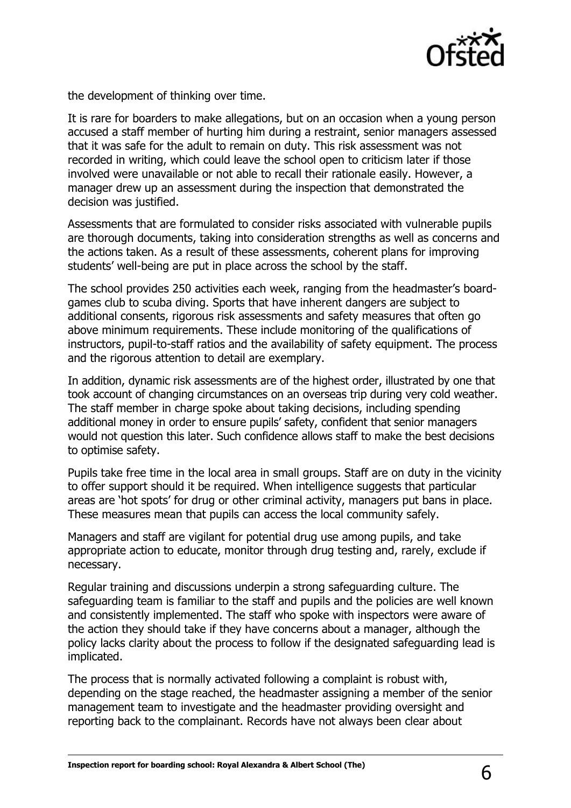

the development of thinking over time.

It is rare for boarders to make allegations, but on an occasion when a young person accused a staff member of hurting him during a restraint, senior managers assessed that it was safe for the adult to remain on duty. This risk assessment was not recorded in writing, which could leave the school open to criticism later if those involved were unavailable or not able to recall their rationale easily. However, a manager drew up an assessment during the inspection that demonstrated the decision was justified.

Assessments that are formulated to consider risks associated with vulnerable pupils are thorough documents, taking into consideration strengths as well as concerns and the actions taken. As a result of these assessments, coherent plans for improving students' well-being are put in place across the school by the staff.

The school provides 250 activities each week, ranging from the headmaster's boardgames club to scuba diving. Sports that have inherent dangers are subject to additional consents, rigorous risk assessments and safety measures that often go above minimum requirements. These include monitoring of the qualifications of instructors, pupil-to-staff ratios and the availability of safety equipment. The process and the rigorous attention to detail are exemplary.

In addition, dynamic risk assessments are of the highest order, illustrated by one that took account of changing circumstances on an overseas trip during very cold weather. The staff member in charge spoke about taking decisions, including spending additional money in order to ensure pupils' safety, confident that senior managers would not question this later. Such confidence allows staff to make the best decisions to optimise safety.

Pupils take free time in the local area in small groups. Staff are on duty in the vicinity to offer support should it be required. When intelligence suggests that particular areas are 'hot spots' for drug or other criminal activity, managers put bans in place. These measures mean that pupils can access the local community safely.

Managers and staff are vigilant for potential drug use among pupils, and take appropriate action to educate, monitor through drug testing and, rarely, exclude if necessary.

Regular training and discussions underpin a strong safeguarding culture. The safeguarding team is familiar to the staff and pupils and the policies are well known and consistently implemented. The staff who spoke with inspectors were aware of the action they should take if they have concerns about a manager, although the policy lacks clarity about the process to follow if the designated safeguarding lead is implicated.

The process that is normally activated following a complaint is robust with, depending on the stage reached, the headmaster assigning a member of the senior management team to investigate and the headmaster providing oversight and reporting back to the complainant. Records have not always been clear about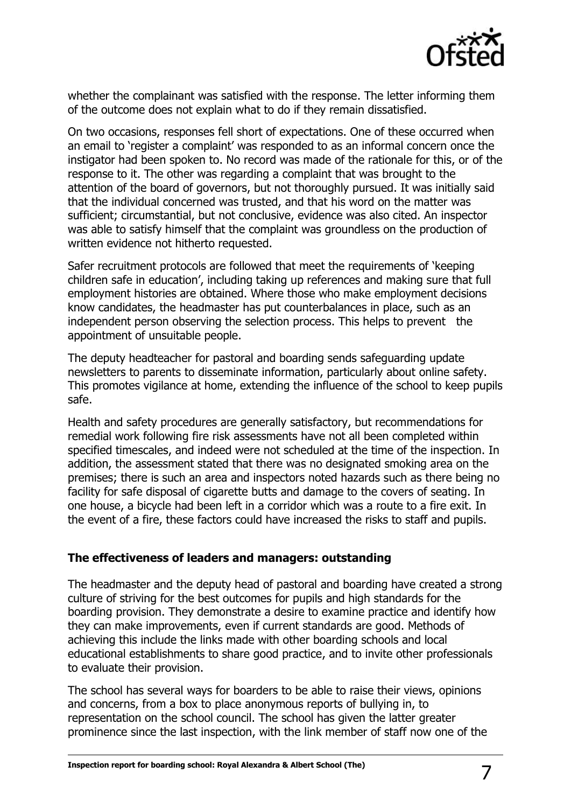

whether the complainant was satisfied with the response. The letter informing them of the outcome does not explain what to do if they remain dissatisfied.

On two occasions, responses fell short of expectations. One of these occurred when an email to 'register a complaint' was responded to as an informal concern once the instigator had been spoken to. No record was made of the rationale for this, or of the response to it. The other was regarding a complaint that was brought to the attention of the board of governors, but not thoroughly pursued. It was initially said that the individual concerned was trusted, and that his word on the matter was sufficient; circumstantial, but not conclusive, evidence was also cited. An inspector was able to satisfy himself that the complaint was groundless on the production of written evidence not hitherto requested.

Safer recruitment protocols are followed that meet the requirements of 'keeping children safe in education', including taking up references and making sure that full employment histories are obtained. Where those who make employment decisions know candidates, the headmaster has put counterbalances in place, such as an independent person observing the selection process. This helps to prevent the appointment of unsuitable people.

The deputy headteacher for pastoral and boarding sends safeguarding update newsletters to parents to disseminate information, particularly about online safety. This promotes vigilance at home, extending the influence of the school to keep pupils safe.

Health and safety procedures are generally satisfactory, but recommendations for remedial work following fire risk assessments have not all been completed within specified timescales, and indeed were not scheduled at the time of the inspection. In addition, the assessment stated that there was no designated smoking area on the premises; there is such an area and inspectors noted hazards such as there being no facility for safe disposal of cigarette butts and damage to the covers of seating. In one house, a bicycle had been left in a corridor which was a route to a fire exit. In the event of a fire, these factors could have increased the risks to staff and pupils.

#### **The effectiveness of leaders and managers: outstanding**

The headmaster and the deputy head of pastoral and boarding have created a strong culture of striving for the best outcomes for pupils and high standards for the boarding provision. They demonstrate a desire to examine practice and identify how they can make improvements, even if current standards are good. Methods of achieving this include the links made with other boarding schools and local educational establishments to share good practice, and to invite other professionals to evaluate their provision.

The school has several ways for boarders to be able to raise their views, opinions and concerns, from a box to place anonymous reports of bullying in, to representation on the school council. The school has given the latter greater prominence since the last inspection, with the link member of staff now one of the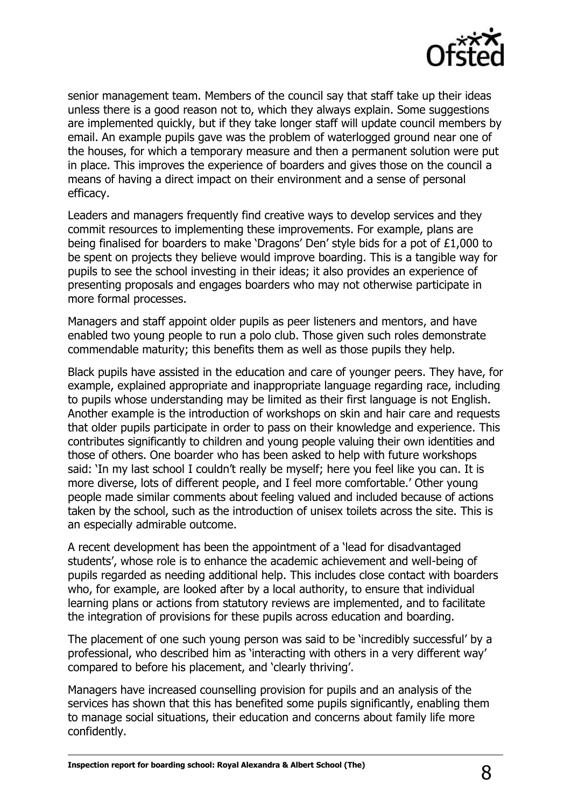

senior management team. Members of the council say that staff take up their ideas unless there is a good reason not to, which they always explain. Some suggestions are implemented quickly, but if they take longer staff will update council members by email. An example pupils gave was the problem of waterlogged ground near one of the houses, for which a temporary measure and then a permanent solution were put in place. This improves the experience of boarders and gives those on the council a means of having a direct impact on their environment and a sense of personal efficacy.

Leaders and managers frequently find creative ways to develop services and they commit resources to implementing these improvements. For example, plans are being finalised for boarders to make 'Dragons' Den' style bids for a pot of £1,000 to be spent on projects they believe would improve boarding. This is a tangible way for pupils to see the school investing in their ideas; it also provides an experience of presenting proposals and engages boarders who may not otherwise participate in more formal processes.

Managers and staff appoint older pupils as peer listeners and mentors, and have enabled two young people to run a polo club. Those given such roles demonstrate commendable maturity; this benefits them as well as those pupils they help.

Black pupils have assisted in the education and care of younger peers. They have, for example, explained appropriate and inappropriate language regarding race, including to pupils whose understanding may be limited as their first language is not English. Another example is the introduction of workshops on skin and hair care and requests that older pupils participate in order to pass on their knowledge and experience. This contributes significantly to children and young people valuing their own identities and those of others. One boarder who has been asked to help with future workshops said: 'In my last school I couldn't really be myself; here you feel like you can. It is more diverse, lots of different people, and I feel more comfortable.' Other young people made similar comments about feeling valued and included because of actions taken by the school, such as the introduction of unisex toilets across the site. This is an especially admirable outcome.

A recent development has been the appointment of a 'lead for disadvantaged students', whose role is to enhance the academic achievement and well-being of pupils regarded as needing additional help. This includes close contact with boarders who, for example, are looked after by a local authority, to ensure that individual learning plans or actions from statutory reviews are implemented, and to facilitate the integration of provisions for these pupils across education and boarding.

The placement of one such young person was said to be 'incredibly successful' by a professional, who described him as 'interacting with others in a very different way' compared to before his placement, and 'clearly thriving'.

Managers have increased counselling provision for pupils and an analysis of the services has shown that this has benefited some pupils significantly, enabling them to manage social situations, their education and concerns about family life more confidently.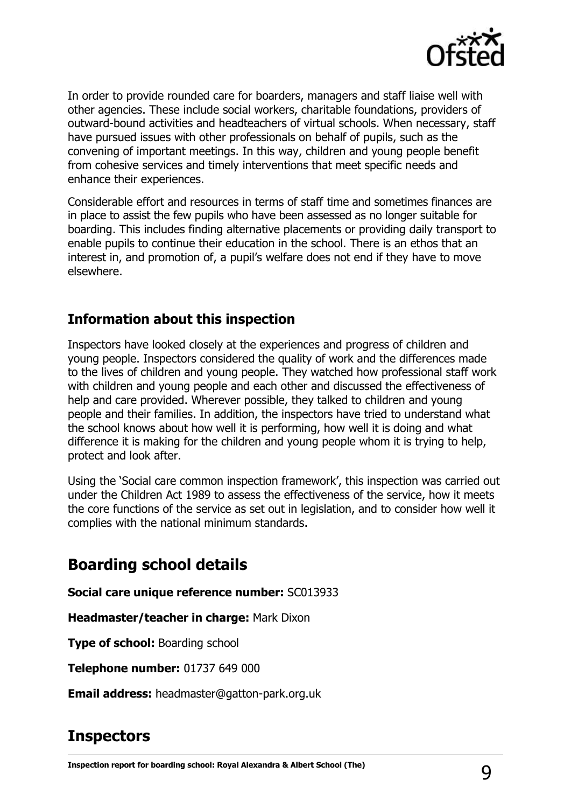

In order to provide rounded care for boarders, managers and staff liaise well with other agencies. These include social workers, charitable foundations, providers of outward-bound activities and headteachers of virtual schools. When necessary, staff have pursued issues with other professionals on behalf of pupils, such as the convening of important meetings. In this way, children and young people benefit from cohesive services and timely interventions that meet specific needs and enhance their experiences.

Considerable effort and resources in terms of staff time and sometimes finances are in place to assist the few pupils who have been assessed as no longer suitable for boarding. This includes finding alternative placements or providing daily transport to enable pupils to continue their education in the school. There is an ethos that an interest in, and promotion of, a pupil's welfare does not end if they have to move elsewhere.

## **Information about this inspection**

Inspectors have looked closely at the experiences and progress of children and young people. Inspectors considered the quality of work and the differences made to the lives of children and young people. They watched how professional staff work with children and young people and each other and discussed the effectiveness of help and care provided. Wherever possible, they talked to children and young people and their families. In addition, the inspectors have tried to understand what the school knows about how well it is performing, how well it is doing and what difference it is making for the children and young people whom it is trying to help, protect and look after.

Using the 'Social care common inspection framework', this inspection was carried out under the Children Act 1989 to assess the effectiveness of the service, how it meets the core functions of the service as set out in legislation, and to consider how well it complies with the national minimum standards.

## **Boarding school details**

**Social care unique reference number:** SC013933

**Headmaster/teacher in charge:** Mark Dixon

**Type of school:** Boarding school

**Telephone number:** 01737 649 000

**Email address:** headmaster@gatton-park.org.uk

## **Inspectors**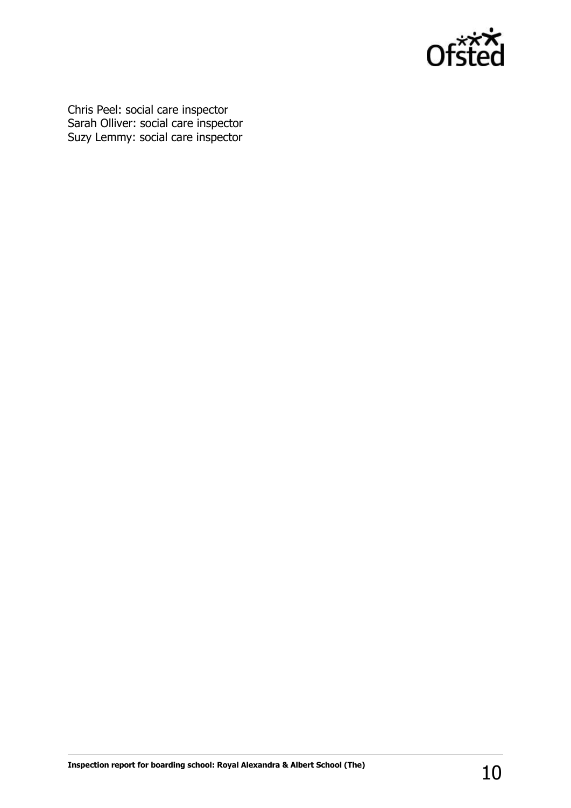

Chris Peel: social care inspector Sarah Olliver: social care inspector Suzy Lemmy: social care inspector